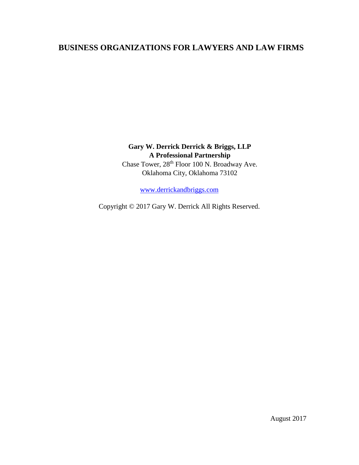# **BUSINESS ORGANIZATIONS FOR LAWYERS AND LAW FIRMS**

# **Gary W. Derrick Derrick & Briggs, LLP A Professional Partnership**

Chase Tower, 28<sup>th</sup> Floor 100 N. Broadway Ave. Oklahoma City, Oklahoma 73102

[www.derrickandbriggs.com](http://www.derrickandbriggs.com/)

Copyright © 2017 Gary W. Derrick All Rights Reserved.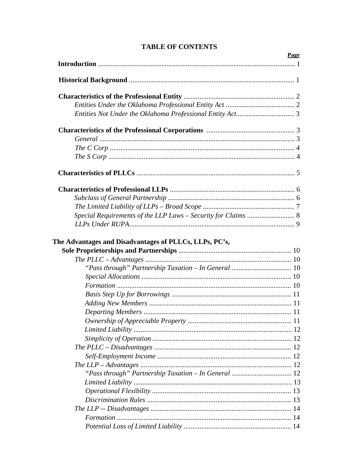| Page |
|------|
|      |
|      |
|      |
|      |
|      |
|      |
|      |
|      |
|      |
|      |
|      |
|      |
|      |
|      |
|      |
|      |
|      |
|      |
|      |
|      |
|      |
|      |
|      |
|      |
|      |
|      |
|      |
|      |
|      |
|      |
|      |
|      |
|      |
|      |
|      |

## **TABLE OF CONTENTS**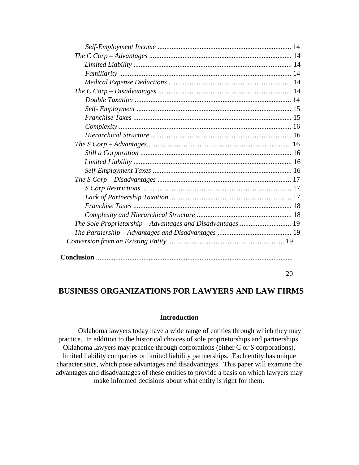| The Sole Proprietorship - Advantages and Disadvantages  19 |  |
|------------------------------------------------------------|--|
|                                                            |  |
|                                                            |  |

#### 20

## **BUSINESS ORGANIZATIONS FOR LAWYERS AND LAW FIRMS**

### **Introduction**

Oklahoma lawyers today have a wide range of entities through which they may practice. In addition to the historical choices of sole proprietorships and partnerships, Oklahoma lawyers may practice through corporations (either C or S corporations), limited liability companies or limited liability partnerships. Each entity has unique characteristics, which pose advantages and disadvantages. This paper will examine the advantages and disadvantages of these entities to provide a basis on which lawyers may make informed decisions about what entity is right for them.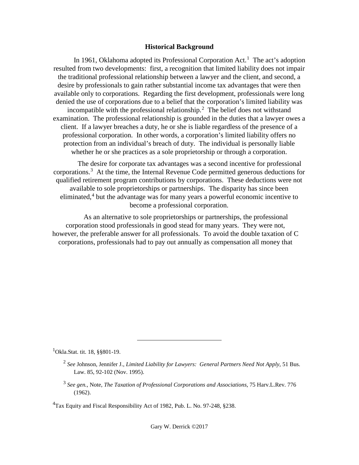#### **Historical Background**

In [1](#page-3-0)961, Oklahoma adopted its Professional Corporation Act.<sup>1</sup> The act's adoption resulted from two developments: first, a recognition that limited liability does not impair the traditional professional relationship between a lawyer and the client, and second, a desire by professionals to gain rather substantial income tax advantages that were then available only to corporations. Regarding the first development, professionals were long denied the use of corporations due to a belief that the corporation's limited liability was incompatible with the professional relationship.<sup>[2](#page-3-1)</sup> The belief does not withstand examination. The professional relationship is grounded in the duties that a lawyer owes a client. If a lawyer breaches a duty, he or she is liable regardless of the presence of a professional corporation. In other words, a corporation's limited liability offers no protection from an individual's breach of duty. The individual is personally liable whether he or she practices as a sole proprietorship or through a corporation.

The desire for corporate tax advantages was a second incentive for professional corporations.<sup>[3](#page-3-2)</sup> At the time, the Internal Revenue Code permitted generous deductions for qualified retirement program contributions by corporations. These deductions were not available to sole proprietorships or partnerships. The disparity has since been eliminated, $4$  but the advantage was for many years a powerful economic incentive to become a professional corporation.

As an alternative to sole proprietorships or partnerships, the professional corporation stood professionals in good stead for many years. They were not, however, the preferable answer for all professionals. To avoid the double taxation of C corporations, professionals had to pay out annually as compensation all money that

<span id="page-3-1"></span><span id="page-3-0"></span><sup>1</sup>Okla.Stat. tit. 18, §§801-19.

<sup>2</sup> *See* Johnson, Jennifer J., *Limited Liability for Lawyers: General Partners Need Not Apply*, 51 Bus. Law. 85, 92-102 (Nov. 1995).

<sup>3</sup> *See gen.*, Note, *The Taxation of Professional Corporations and Associations*, 75 Harv.L.Rev. 776 (1962).

<span id="page-3-3"></span><span id="page-3-2"></span><sup>&</sup>lt;sup>4</sup>Tax Equity and Fiscal Responsibility Act of 1982, Pub. L. No. 97-248, §238.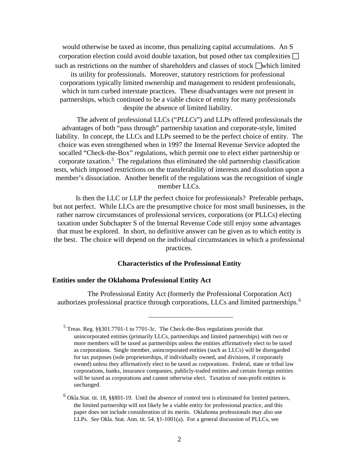would otherwise be taxed as income, thus penalizing capital accumulations. An S corporation election could avoid double taxation, but posed other tax complexities  $\Box$ such as restrictions on the number of shareholders and classes of stock which limited its utility for professionals. Moreover, statutory restrictions for professional corporations typically limited ownership and management to resident professionals, which in turn curbed interstate practices. These disadvantages were not present in partnerships, which continued to be a viable choice of entity for many professionals despite the absence of limited liability.

The advent of professional LLCs ("*PLLCs*") and LLPs offered professionals the advantages of both "pass through" partnership taxation and corporate-style, limited liability. In concept, the LLCs and LLPs seemed to be the perfect choice of entity. The choice was even strengthened when in 1997 the Internal Revenue Service adopted the socalled "Check-the-Box" regulations, which permit one to elect either partnership or corporate taxation.<sup>[5](#page-4-0)</sup> The regulations thus eliminated the old partnership classification tests, which imposed restrictions on the transferability of interests and dissolution upon a member's dissociation. Another benefit of the regulations was the recognition of single member LLCs.

Is then the LLC or LLP the perfect choice for professionals? Preferable perhaps, but not perfect. While LLCs are the presumptive choice for most small businesses, in the rather narrow circumstances of professional services, corporations (or PLLCs) electing taxation under Subchapter S of the Internal Revenue Code still enjoy some advantages that must be explored. In short, no definitive answer can be given as to which entity is the best. The choice will depend on the individual circumstances in which a professional practices.

#### **Characteristics of the Professional Entity**

#### **Entities under the Oklahoma Professional Entity Act**

 $\overline{a}$ 

The Professional Entity Act (formerly the Professional Corporation Act) authorizes professional practice through corporations, LLCs and limited partnerships.<sup>[6](#page-4-1)</sup>

<span id="page-4-0"></span><sup>5</sup> Treas. Reg. §§301.7701-1 to 7701-3c. The Check-the-Box regulations provide that unincorporated entities (primarily LLCs, partnerships and limited partnerships) with two or more members will be taxed as partnerships unless the entities affirmatively elect to be taxed as corporations. Single member, unincorporated entities (such as LLCs) will be disregarded for tax purposes (sole proprietorships, if individually owned, and divisions, if corporately owned) unless they affirmatively elect to be taxed as corporations. Federal, state or tribal law corporations, banks, insurance companies, publicly-traded entities and certain foreign entities will be taxed as corporations and cannot otherwise elect. Taxation of non-profit entities is unchanged.

<span id="page-4-1"></span> $6$  Okla.Stat. tit. 18,  $\S$ §801-19. Until the absence of control test is eliminated for limited partners, the limited partnership will not likely be a viable entity for professional practice, and this paper does not include consideration of its merits. Oklahoma professionals may also use LLPs. *See* Okla. Stat. Ann. tit. 54, §1-1001(a). For a general discussion of PLLCs, see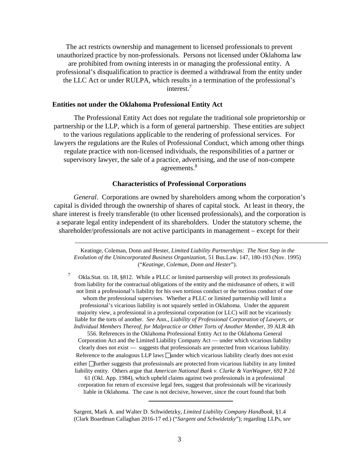The act restricts ownership and management to licensed professionals to prevent unauthorized practice by non-professionals. Persons not licensed under Oklahoma law are prohibited from owning interests in or managing the professional entity. A professional's disqualification to practice is deemed a withdrawal from the entity under the LLC Act or under RULPA, which results in a termination of the professional's interest.7

#### **Entities not under the Oklahoma Professional Entity Act**

The Professional Entity Act does not regulate the traditional sole proprietorship or partnership or the LLP, which is a form of general partnership. These entities are subject to the various regulations applicable to the rendering of professional services. For lawyers the regulations are the Rules of Professional Conduct, which among other things regulate practice with non-licensed individuals, the responsibilities of a partner or supervisory lawyer, the sale of a practice, advertising, and the use of non-compete agreements.<sup>8</sup>

### **Characteristics of Professional Corporations**

*General*. Corporations are owned by shareholders among whom the corporation's capital is divided through the ownership of shares of capital stock. At least in theory, the share interest is freely transferable (to other licensed professionals), and the corporation is a separate legal entity independent of its shareholders. Under the statutory scheme, the shareholder/professionals are not active participants in management – except for their

Keatinge, Coleman, Donn and Hester, *Limited Liability Partnerships: The Next Step in the Evolution of the Unincorporated Business Organization*, 51 Bus.Law. 147, 180-193 (Nov. 1995) ("*Keatinge, Coleman, Donn and Hester*").

<sup>7</sup> Okla.Stat. tit. 18, §812. While a PLLC or limited partnership will protect its professionals from liability for the contractual obligations of the entity and the misfeasance of others, it will not limit a professional's liability for his own tortious conduct or the tortious conduct of one whom the professional supervises. Whether a PLLC or limited partnership will limit a professional's vicarious liability is not squarely settled in Oklahoma. Under the apparent majority view, a professional in a professional corporation (or LLC) will not be vicariously liable for the torts of another. *See* Ann., *Liability of Professional Corporation of Lawyers, or Individual Members Thereof, for Malpractice or Other Torts of Another Member*, 39 ALR 4th

556. References in the Oklahoma Professional Entity Act to the Oklahoma General Corporation Act and the Limited Liability Company Act — under which vicarious liability clearly does not exist — suggests that professionals are protected from vicarious liability. Reference to the analogous LLP laws  $\Box$ under which vicarious liability clearly does not exist either further suggests that professionals are protected from vicarious liability in any limited liability entity. Others argue that *American National Bank v. Clarke & VanWagner*, 692 P.2d

61 (Okl. App. 1984), which upheld claims against two professionals in a professional corporation for return of excessive legal fees, suggest that professionals will be vicariously liable in Oklahoma. The case is not decisive, however, since the court found that both

Sargent, Mark A. and Walter D. Schwidetzky, *Limited Liability Company Handbook*, §1.4 (Clark Boardman Callaghan 2016-17 ed.) ("*Sargent and Schwidetzky*"); regarding LLPs, *see*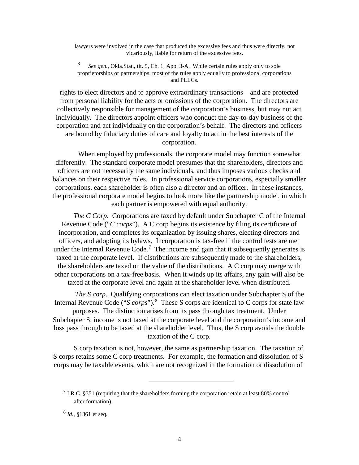lawyers were involved in the case that produced the excessive fees and thus were directly, not vicariously, liable for return of the excessive fees.

<sup>8</sup> *See gen.*, Okla.Stat., tit. 5, Ch. 1, App. 3-A. While certain rules apply only to sole proprietorships or partnerships, most of the rules apply equally to professional corporations and PLLCs.

rights to elect directors and to approve extraordinary transactions – and are protected from personal liability for the acts or omissions of the corporation. The directors are collectively responsible for management of the corporation's business, but may not act individually. The directors appoint officers who conduct the day-to-day business of the corporation and act individually on the corporation's behalf. The directors and officers are bound by fiduciary duties of care and loyalty to act in the best interests of the corporation.

When employed by professionals, the corporate model may function somewhat differently. The standard corporate model presumes that the shareholders, directors and officers are not necessarily the same individuals, and thus imposes various checks and balances on their respective roles. In professional service corporations, especially smaller corporations, each shareholder is often also a director and an officer. In these instances, the professional corporate model begins to look more like the partnership model, in which each partner is empowered with equal authority.

*The C Corp*. Corporations are taxed by default under Subchapter C of the Internal Revenue Code ("*C corps*"). A C corp begins its existence by filing its certificate of incorporation, and completes its organization by issuing shares, electing directors and officers, and adopting its bylaws. Incorporation is tax-free if the control tests are met under the Internal Revenue Code.<sup>[7](#page-6-0)</sup> The income and gain that it subsequently generates is taxed at the corporate level. If distributions are subsequently made to the shareholders, the shareholders are taxed on the value of the distributions. A C corp may merge with other corporations on a tax-free basis. When it winds up its affairs, any gain will also be taxed at the corporate level and again at the shareholder level when distributed.

*The S corp*. Qualifying corporations can elect taxation under Subchapter S of the Internal Revenue Code ("S corps").<sup>[8](#page-6-1)</sup> These S corps are identical to C corps for state law purposes. The distinction arises from its pass through tax treatment. Under Subchapter S, income is not taxed at the corporate level and the corporation's income and loss pass through to be taxed at the shareholder level. Thus, the S corp avoids the double taxation of the C corp.

S corp taxation is not, however, the same as partnership taxation. The taxation of S corps retains some C corp treatments. For example, the formation and dissolution of S corps may be taxable events, which are not recognized in the formation or dissolution of

<span id="page-6-0"></span><sup>&</sup>lt;sup>7</sup> I.R.C. §351 (requiring that the shareholders forming the corporation retain at least 80% control after formation).

<span id="page-6-1"></span><sup>8</sup> *Id*., §1361 et seq.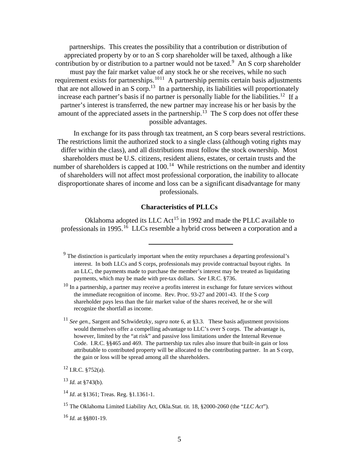partnerships. This creates the possibility that a contribution or distribution of appreciated property by or to an S corp shareholder will be taxed, although a like contribution by or distribution to a partner would not be taxed.<sup>[9](#page-7-0)</sup> An S corp shareholder must pay the fair market value of any stock he or she receives, while no such requirement exists for partnerships.<sup>[10](#page-7-1)11</sup> A partnership permits certain basis adjustments that are not allowed in an S corp.<sup>13</sup> In a partnership, its liabilities will proportionately increase each partner's basis if no partner is personally liable for the liabilities.<sup>[12](#page-7-3)</sup> If a partner's interest is transferred, the new partner may increase his or her basis by the amount of the appreciated assets in the partnership.<sup>[13](#page-7-4)</sup> The S corp does not offer these possible advantages.

In exchange for its pass through tax treatment, an S corp bears several restrictions. The restrictions limit the authorized stock to a single class (although voting rights may differ within the class), and all distributions must follow the stock ownership. Most shareholders must be U.S. citizens, resident aliens, estates, or certain trusts and the number of shareholders is capped at  $100<sup>14</sup>$  While restrictions on the number and identity of shareholders will not affect most professional corporation, the inability to allocate disproportionate shares of income and loss can be a significant disadvantage for many professionals.

## **Characteristics of PLLCs**

Oklahoma adopted its LLC Act<sup>[15](#page-7-6)</sup> in 1992 and made the PLLC available to professionals in 1995.<sup>16</sup> LLCs resemble a hybrid cross between a corporation and a

 $\overline{a}$ 

<span id="page-7-3"></span> $12$  I.R.C. §752(a).

<span id="page-7-0"></span><sup>&</sup>lt;sup>9</sup> The distinction is particularly important when the entity repurchases a departing professional's interest. In both LLCs and S corps, professionals may provide contractual buyout rights. In an LLC, the payments made to purchase the member's interest may be treated as liquidating payments, which may be made with pre-tax dollars. *See* I.R.C. §736.

<span id="page-7-1"></span> $10$  In a partnership, a partner may receive a profits interest in exchange for future services without the immediate recognition of income. Rev. Proc. 93-27 and 2001-43. If the S corp shareholder pays less than the fair market value of the shares received, he or she will recognize the shortfall as income.

<span id="page-7-2"></span><sup>11</sup> *See gen*., Sargent and Schwidetzky, *supra* note 6, at §3.3. These basis adjustment provisions would themselves offer a compelling advantage to LLC's over S corps. The advantage is, however, limited by the "at risk" and passive loss limitations under the Internal Revenue Code. I.R.C. §§465 and 469. The partnership tax rules also insure that built-in gain or loss attributable to contributed property will be allocated to the contributing partner. In an S corp, the gain or loss will be spread among all the shareholders.

<span id="page-7-4"></span> $^{13}$  *Id.* at  $$743(b)$ .

<span id="page-7-5"></span><sup>14</sup> *Id*. at §1361; Treas. Reg. §1.1361-1.

<span id="page-7-6"></span><sup>15</sup> The Oklahoma Limited Liability Act, Okla.Stat. tit. 18, §2000-2060 (the "*LLC Act*").

<span id="page-7-7"></span><sup>16</sup> *Id.* at §§801-19.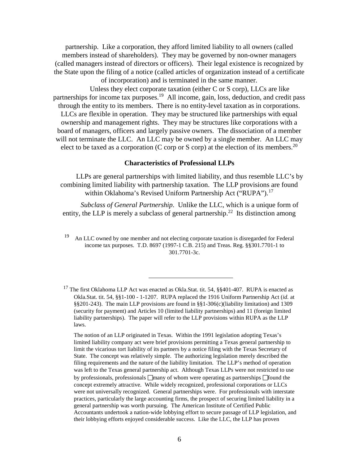partnership. Like a corporation, they afford limited liability to all owners (called members instead of shareholders). They may be governed by non-owner managers (called managers instead of directors or officers). Their legal existence is recognized by the State upon the filing of a notice (called articles of organization instead of a certificate of incorporation) and is terminated in the same manner.

Unless they elect corporate taxation (either C or S corp), LLCs are like partnerships for income tax purposes.<sup>19</sup> All income, gain, loss, deduction, and credit pass through the entity to its members. There is no entity-level taxation as in corporations. LLCs are flexible in operation. They may be structured like partnerships with equal ownership and management rights. They may be structures like corporations with a board of managers, officers and largely passive owners. The dissociation of a member will not terminate the LLC. An LLC may be owned by a single member. An LLC may elect to be taxed as a corporation (C corp or S corp) at the election of its members.<sup>20</sup>

#### **Characteristics of Professional LLPs**

LLPs are general partnerships with limited liability, and thus resemble LLC's by combining limited liability with partnership taxation. The LLP provisions are found within Oklahoma's Revised Uniform Partnership Act ("RUPA").<sup>[17](#page-8-0)</sup>

*Subclass of General Partnership*. Unlike the LLC, which is a unique form of entity, the LLP is merely a subclass of general partnership.<sup>22</sup> Its distinction among

<sup>19</sup> An LLC owned by one member and not electing corporate taxation is disregarded for Federal income tax purposes. T.D. 8697 (1997-1 C.B. 215) and Treas. Reg. §§301.7701-1 to 301.7701-3c.

 $\overline{a}$ 

The notion of an LLP originated in Texas. Within the 1991 legislation adopting Texas's limited liability company act were brief provisions permitting a Texas general partnership to limit the vicarious tort liability of its partners by a notice filing with the Texas Secretary of State. The concept was relatively simple. The authorizing legislation merely described the filing requirements and the nature of the liability limitation. The LLP's method of operation was left to the Texas general partnership act. Although Texas LLPs were not restricted to use by professionals, professionals  $\Box$ many of whom were operating as partnerships  $\Box$  found the concept extremely attractive. While widely recognized, professional corporations or LLCs were not universally recognized. General partnerships were. For professionals with interstate practices, particularly the large accounting firms, the prospect of securing limited liability in a general partnership was worth pursuing. The American Institute of Certified Public Accountants undertook a nation-wide lobbying effort to secure passage of LLP legislation, and their lobbying efforts enjoyed considerable success. Like the LLC, the LLP has proven

<span id="page-8-0"></span><sup>&</sup>lt;sup>17</sup> The first Oklahoma LLP Act was enacted as Okla.Stat. tit. 54,  $\S$ §401-407. RUPA is enacted as Okla.Stat. tit. 54, §§1-100 - 1-1207. RUPA replaced the 1916 Uniform Partnership Act (*id.* at §§201-243). The main LLP provisions are found in §§1-306(c)(liability limitation) and 1309 (security for payment) and Articles 10 (limited liability partnerships) and 11 (foreign limited liability partnerships). The paper will refer to the LLP provisions within RUPA as the LLP laws.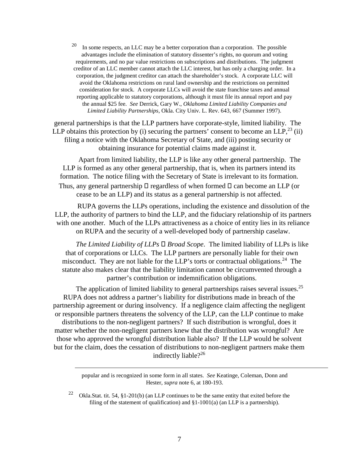$20$  In some respects, an LLC may be a better corporation than a corporation. The possible advantages include the elimination of statutory dissenter's rights, no quorum and voting requirements, and no par value restrictions on subscriptions and distributions. The judgment creditor of an LLC member cannot attach the LLC interest, but has only a charging order. In a corporation, the judgment creditor can attach the shareholder's stock. A corporate LLC will avoid the Oklahoma restrictions on rural land ownership and the restrictions on permitted consideration for stock. A corporate LLCs will avoid the state franchise taxes and annual reporting applicable to statutory corporations, although it must file its annual report and pay the annual \$25 fee. *See* Derrick, Gary W., *Oklahoma Limited Liability Companies and Limited Liability Partnerships*, Okla. City Univ. L. Rev. 643, 667 (Summer 1997).

general partnerships is that the LLP partners have corporate-style, limited liability. The LLP obtains this protection by (i) securing the partners' consent to become an LLP,  $^{23}$  (ii) filing a notice with the Oklahoma Secretary of State, and (iii) posting security or obtaining insurance for potential claims made against it.

Apart from limited liability, the LLP is like any other general partnership. The LLP is formed as any other general partnership, that is, when its partners intend its formation. The notice filing with the Secretary of State is irrelevant to its formation. Thus, any general partnership  $\Box$  regardless of when formed  $\Box$  can become an LLP (or cease to be an LLP) and its status as a general partnership is not affected.

RUPA governs the LLPs operations, including the existence and dissolution of the LLP, the authority of partners to bind the LLP, and the fiduciary relationship of its partners with one another. Much of the LLPs attractiveness as a choice of entity lies in its reliance on RUPA and the security of a well-developed body of partnership caselaw.

*The Limited Liability of LLPs*  $\square$  *Broad Scope.* The limited liability of LLPs is like that of corporations or LLCs. The LLP partners are personally liable for their own misconduct. They are not liable for the LLP's torts or contractual obligations.<sup>24</sup> The statute also makes clear that the liability limitation cannot be circumvented through a partner's contribution or indemnification obligations.

The application of limited liability to general partnerships raises several issues.<sup>25</sup> RUPA does not address a partner's liability for distributions made in breach of the partnership agreement or during insolvency. If a negligence claim affecting the negligent or responsible partners threatens the solvency of the LLP, can the LLP continue to make distributions to the non-negligent partners? If such distribution is wrongful, does it matter whether the non-negligent partners knew that the distribution was wrongful? Are those who approved the wrongful distribution liable also? If the LLP would be solvent but for the claim, does the cessation of distributions to non-negligent partners make them indirectly liable?<sup>26</sup>

> popular and is recognized in some form in all states. *See* Keatinge, Coleman, Donn and Hester, *supra* note 6, at 180-193.

<sup>22</sup> Okla.Stat. tit. 54, §1-201(b) (an LLP continues to be the same entity that exited before the filing of the statement of qualification) and  $\S 1-1001(a)$  (an LLP is a partnership).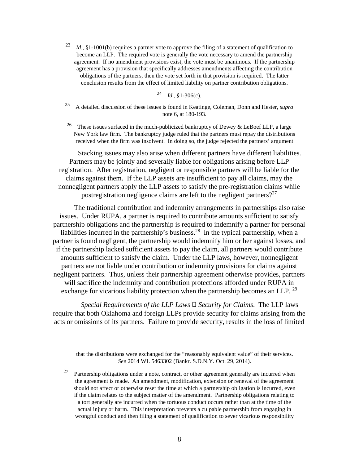<sup>23</sup> *Id*., §1-1001(b) requires a partner vote to approve the filing of a statement of qualification to become an LLP. The required vote is generally the vote necessary to amend the partnership agreement. If no amendment provisions exist, the vote must be unanimous. If the partnership agreement has a provision that specifically addresses amendments affecting the contribution obligations of the partners, then the vote set forth in that provision is required. The latter conclusion results from the effect of limited liability on partner contribution obligations.

 $^{24}$  *Id.*, §1-306(c).

- <sup>25</sup> A detailed discussion of these issues is found in Keatinge, Coleman, Donn and Hester, *supra*  note 6, at 180-193.
- <sup>26</sup> These issues surfaced in the much-publicized bankruptcy of Dewey & LeBoef LLP, a large New York law firm. The bankruptcy judge ruled that the partners must repay the distributions received when the firm was insolvent. In doing so, the judge rejected the partners' argument

Stacking issues may also arise when different partners have different liabilities. Partners may be jointly and severally liable for obligations arising before LLP registration. After registration, negligent or responsible partners will be liable for the claims against them. If the LLP assets are insufficient to pay all claims, may the nonnegligent partners apply the LLP assets to satisfy the pre-registration claims while postregistration negligence claims are left to the negligent partners?<sup>27</sup>

The traditional contribution and indemnity arrangements in partnerships also raise issues. Under RUPA, a partner is required to contribute amounts sufficient to satisfy partnership obligations and the partnership is required to indemnify a partner for personal liabilities incurred in the partnership's business.28 In the typical partnership, when a partner is found negligent, the partnership would indemnify him or her against losses, and if the partnership lacked sufficient assets to pay the claim, all partners would contribute amounts sufficient to satisfy the claim. Under the LLP laws, however, nonnegligent partners are not liable under contribution or indemnity provisions for claims against negligent partners. Thus, unless their partnership agreement otherwise provides, partners will sacrifice the indemnity and contribution protections afforded under RUPA in exchange for vicarious liability protection when the partnership becomes an LLP. <sup>29</sup>

*Special Requirements of the LLP Laws*  $\Box$  *Security for Claims.* The LLP laws require that both Oklahoma and foreign LLPs provide security for claims arising from the acts or omissions of its partners. Failure to provide security, results in the loss of limited

that the distributions were exchanged for the "reasonably equivalent value" of their services. *See* 2014 WL 5463302 (Bankr. S.D.N.Y. Oct. 29, 2014).

 $27$  Partnership obligations under a note, contract, or other agreement generally are incurred when the agreement is made. An amendment, modification, extension or renewal of the agreement should not affect or otherwise reset the time at which a partnership obligation is incurred, even if the claim relates to the subject matter of the amendment. Partnership obligations relating to a tort generally are incurred when the tortuous conduct occurs rather than at the time of the actual injury or harm. This interpretation prevents a culpable partnership from engaging in wrongful conduct and then filing a statement of qualification to sever vicarious responsibility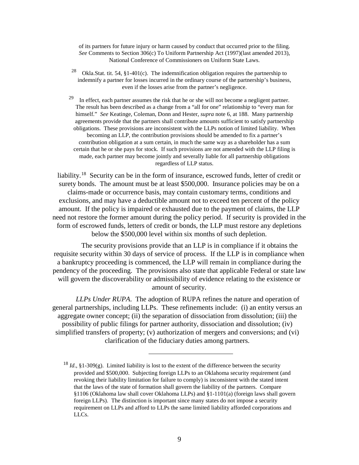of its partners for future injury or harm caused by conduct that occurred prior to the filing. *See* Comments to Section 306(c) To Uniform Partnership Act (1997)(last amended 2013), National Conference of Commissioners on Uniform State Laws.

<sup>28</sup> Okla. Stat. tit. 54, §1-401(c). The indemnification obligation requires the partnership to indemnify a partner for losses incurred in the ordinary course of the partnership's business, even if the losses arise from the partner's negligence.

<sup>29</sup> In effect, each partner assumes the risk that he or she will not become a negligent partner. The result has been described as a change from a "all for one" relationship to "every man for himself." *See* Keatinge, Coleman, Donn and Hester, *supra* note 6, at 188. Many partnership agreements provide that the partners shall contribute amounts sufficient to satisfy partnership obligations. These provisions are inconsistent with the LLPs notion of limited liability. When becoming an LLP, the contribution provisions should be amended to fix a partner's contribution obligation at a sum certain, in much the same way as a shareholder has a sum certain that he or she pays for stock. If such provisions are not amended with the LLP filing is made, each partner may become jointly and severally liable for all partnership obligations regardless of LLP status.

liability.<sup>[18](#page-11-0)</sup> Security can be in the form of insurance, escrowed funds, letter of credit or surety bonds. The amount must be at least \$500,000. Insurance policies may be on a claims-made or occurrence basis, may contain customary terms, conditions and exclusions, and may have a deductible amount not to exceed ten percent of the policy amount. If the policy is impaired or exhausted due to the payment of claims, the LLP need not restore the former amount during the policy period. If security is provided in the form of escrowed funds, letters of credit or bonds, the LLP must restore any depletions below the \$500,000 level within six months of such depletion.

The security provisions provide that an LLP is in compliance if it obtains the requisite security within 30 days of service of process. If the LLP is in compliance when a bankruptcy proceeding is commenced, the LLP will remain in compliance during the pendency of the proceeding. The provisions also state that applicable Federal or state law will govern the discoverability or admissibility of evidence relating to the existence or amount of security.

*LLPs Under RUPA*. The adoption of RUPA refines the nature and operation of general partnerships, including LLPs. These refinements include: (i) an entity versus an aggregate owner concept; (ii) the separation of dissociation from dissolution; (iii) the possibility of public filings for partner authority, dissociation and dissolution; (iv) simplified transfers of property; (v) authorization of mergers and conversions; and (vi) clarification of the fiduciary duties among partners.

<span id="page-11-0"></span><sup>&</sup>lt;sup>18</sup> *Id.*, §1-309(g). Limited liability is lost to the extent of the difference between the security provided and \$500,000. Subjecting foreign LLPs to an Oklahoma security requirement (and revoking their liability limitation for failure to comply) is inconsistent with the stated intent that the laws of the state of formation shall govern the liability of the partners. Compare §1106 (Oklahoma law shall cover Oklahoma LLPs) and §1-1101(a) (foreign laws shall govern foreign LLPs). The distinction is important since many states do not impose a security requirement on LLPs and afford to LLPs the same limited liability afforded corporations and LLCs.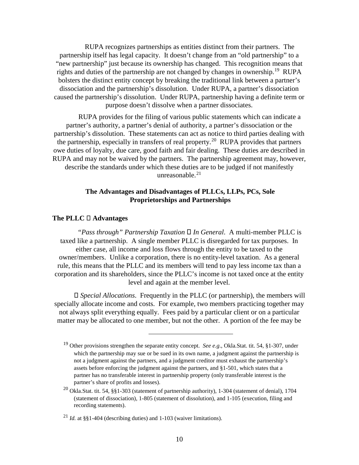RUPA recognizes partnerships as entities distinct from their partners. The partnership itself has legal capacity. It doesn't change from an "old partnership" to a "new partnership" just because its ownership has changed. This recognition means that rights and duties of the partnership are not changed by changes in ownership.[19](#page-12-0) RUPA bolsters the distinct entity concept by breaking the traditional link between a partner's dissociation and the partnership's dissolution. Under RUPA, a partner's dissociation caused the partnership's dissolution. Under RUPA, partnership having a definite term or purpose doesn't dissolve when a partner dissociates.

RUPA provides for the filing of various public statements which can indicate a partner's authority, a partner's denial of authority, a partner's dissociation or the partnership's dissolution. These statements can act as notice to third parties dealing with the partnership, especially in transfers of real property.<sup>[20](#page-12-1)</sup> RUPA provides that partners owe duties of loyalty, due care, good faith and fair dealing. These duties are described in RUPA and may not be waived by the partners. The partnership agreement may, however, describe the standards under which these duties are to be judged if not manifestly unreasonable. $21$ 

## **The Advantages and Disadvantages of PLLCs, LLPs, PCs, Sole Proprietorships and Partnerships**

#### **The PLLC Advantages**

*"Pass through" Partnership Taxation In General*. A multi-member PLLC is taxed like a partnership. A single member PLLC is disregarded for tax purposes. In either case, all income and loss flows through the entity to be taxed to the owner/members. Unlike a corporation, there is no entity-level taxation. As a general rule, this means that the PLLC and its members will tend to pay less income tax than a corporation and its shareholders, since the PLLC's income is not taxed once at the entity level and again at the member level.

 *Special Allocations*. Frequently in the PLLC (or partnership), the members will specially allocate income and costs. For example, two members practicing together may not always split everything equally. Fees paid by a particular client or on a particular matter may be allocated to one member, but not the other. A portion of the fee may be

<span id="page-12-0"></span><sup>19</sup> Other provisions strengthen the separate entity concept. *See e.g*., Okla.Stat. tit. 54, §1-307, under which the partnership may sue or be sued in its own name, a judgment against the partnership is not a judgment against the partners, and a judgment creditor must exhaust the partnership's assets before enforcing the judgment against the partners, and §1-501, which states that a partner has no transferable interest in partnership property (only transferable interest is the partner's share of profits and losses).

<span id="page-12-1"></span><sup>20</sup> Okla.Stat. tit. 54, §§1-303 (statement of partnership authority), 1-304 (statement of denial), 1704 (statement of dissociation), 1-805 (statement of dissolution), and 1-105 (execution, filing and recording statements).

<span id="page-12-2"></span><sup>&</sup>lt;sup>21</sup> *Id.* at §§1-404 (describing duties) and 1-103 (waiver limitations).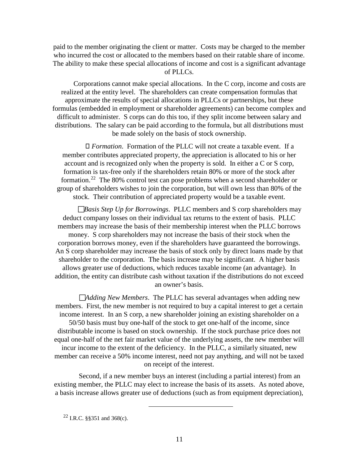paid to the member originating the client or matter. Costs may be charged to the member who incurred the cost or allocated to the members based on their ratable share of income. The ability to make these special allocations of income and cost is a significant advantage of PLLCs.

Corporations cannot make special allocations. In the C corp, income and costs are realized at the entity level. The shareholders can create compensation formulas that approximate the results of special allocations in PLLCs or partnerships, but these formulas (embedded in employment or shareholder agreements) can become complex and difficult to administer. S corps can do this too, if they split income between salary and distributions. The salary can be paid according to the formula, but all distributions must be made solely on the basis of stock ownership.

 *Formation*. Formation of the PLLC will not create a taxable event. If a member contributes appreciated property, the appreciation is allocated to his or her account and is recognized only when the property is sold. In either a C or S corp, formation is tax-free only if the shareholders retain 80% or more of the stock after formation.[22](#page-13-0) The 80% control test can pose problems when a second shareholder or group of shareholders wishes to join the corporation, but will own less than 80% of the stock. Their contribution of appreciated property would be a taxable event.

*Basis Step Up for Borrowings*. PLLC members and S corp shareholders may deduct company losses on their individual tax returns to the extent of basis. PLLC members may increase the basis of their membership interest when the PLLC borrows money. S corp shareholders may not increase the basis of their stock when the corporation borrows money, even if the shareholders have guaranteed the borrowings. An S corp shareholder may increase the basis of stock only by direct loans made by that shareholder to the corporation. The basis increase may be significant. A higher basis allows greater use of deductions, which reduces taxable income (an advantage). In addition, the entity can distribute cash without taxation if the distributions do not exceed an owner's basis.

*Adding New Members*. The PLLC has several advantages when adding new members. First, the new member is not required to buy a capital interest to get a certain income interest. In an S corp, a new shareholder joining an existing shareholder on a 50/50 basis must buy one-half of the stock to get one-half of the income, since distributable income is based on stock ownership. If the stock purchase price does not equal one-half of the net fair market value of the underlying assets, the new member will incur income to the extent of the deficiency. In the PLLC, a similarly situated, new member can receive a 50% income interest, need not pay anything, and will not be taxed on receipt of the interest.

Second, if a new member buys an interest (including a partial interest) from an existing member, the PLLC may elect to increase the basis of its assets. As noted above, a basis increase allows greater use of deductions (such as from equipment depreciation),

<span id="page-13-0"></span><sup>22</sup> I.R.C. §§351 and 368(c).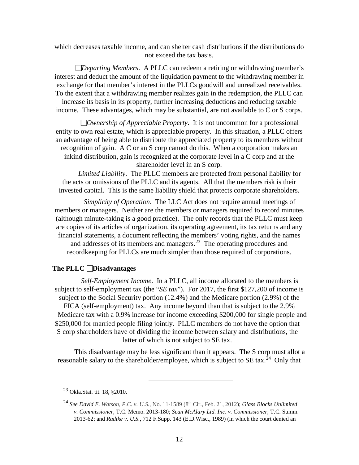which decreases taxable income, and can shelter cash distributions if the distributions do not exceed the tax basis.

*Departing Members*. A PLLC can redeem a retiring or withdrawing member's interest and deduct the amount of the liquidation payment to the withdrawing member in exchange for that member's interest in the PLLCs goodwill and unrealized receivables. To the extent that a withdrawing member realizes gain in the redemption, the PLLC can increase its basis in its property, further increasing deductions and reducing taxable income. These advantages, which may be substantial, are not available to C or S corps.

*Ownership of Appreciable Property*. It is not uncommon for a professional entity to own real estate, which is appreciable property. In this situation, a PLLC offers an advantage of being able to distribute the appreciated property to its members without recognition of gain. A C or an S corp cannot do this. When a corporation makes an inkind distribution, gain is recognized at the corporate level in a C corp and at the shareholder level in an S corp.

*Limited Liability*. The PLLC members are protected from personal liability for the acts or omissions of the PLLC and its agents. All that the members risk is their invested capital. This is the same liability shield that protects corporate shareholders.

*Simplicity of Operation*. The LLC Act does not require annual meetings of members or managers. Neither are the members or managers required to record minutes (although minute-taking is a good practice). The only records that the PLLC must keep are copies of its articles of organization, its operating agreement, its tax returns and any financial statements, a document reflecting the members' voting rights, and the names and addresses of its members and managers.<sup>23</sup> The operating procedures and recordkeeping for PLLCs are much simpler than those required of corporations.

#### **The PLLC Disadvantages**

*Self-Employment Income*. In a PLLC, all income allocated to the members is subject to self-employment tax (the "*SE tax*"). For 2017, the first \$127,200 of income is subject to the Social Security portion (12.4%) and the Medicare portion (2.9%) of the FICA (self-employment) tax. Any income beyond than that is subject to the 2.9% Medicare tax with a 0.9% increase for income exceeding \$200,000 for single people and \$250,000 for married people filing jointly. PLLC members do not have the option that S corp shareholders have of dividing the income between salary and distributions, the latter of which is not subject to SE tax.

This disadvantage may be less significant than it appears. The S corp must allot a reasonable salary to the shareholder/employee, which is subject to SE tax.<sup>[24](#page-14-1)</sup> Only that

<span id="page-14-0"></span><sup>23</sup> Okla.Stat. tit. 18, §2010.

<span id="page-14-1"></span><sup>24</sup> *See David E. Watson, P.C. v. U.S.*, No. 11-1589 (8th Cir., Feb. 21, 2012); *Glass Blocks Unlimited v. Commissioner,* T.C. Memo. 2013-180; *Sean McAlary Ltd. Inc*. *v. Commissioner*, T.C. Summ. 2013-62; and *Radtke v. U.S.*, 712 F.Supp. 143 (E.D.Wisc., 1989) (in which the court denied an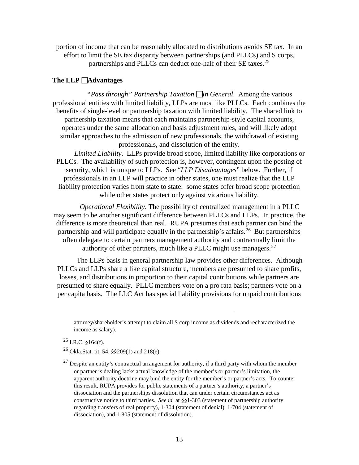portion of income that can be reasonably allocated to distributions avoids SE tax. In an effort to limit the SE tax disparity between partnerships (and PLLCs) and S corps, partnerships and PLLCs can deduct one-half of their SE taxes.<sup>25</sup>

## The  $LLP$   $\Box$  **Advantages**

*"Pass through" Partnership Taxation In General*. Among the various professional entities with limited liability, LLPs are most like PLLCs. Each combines the benefits of single-level or partnership taxation with limited liability. The shared link to partnership taxation means that each maintains partnership-style capital accounts, operates under the same allocation and basis adjustment rules, and will likely adopt similar approaches to the admission of new professionals, the withdrawal of existing professionals, and dissolution of the entity.

*Limited Liability*. LLPs provide broad scope, limited liability like corporations or PLLCs. The availability of such protection is, however, contingent upon the posting of security, which is unique to LLPs. See "*LLP Disadvantages*" below. Further, if professionals in an LLP will practice in other states, one must realize that the LLP liability protection varies from state to state: some states offer broad scope protection while other states protect only against vicarious liability.

*Operational Flexibility*. The possibility of centralized management in a PLLC may seem to be another significant difference between PLLCs and LLPs. In practice, the difference is more theoretical than real. RUPA presumes that each partner can bind the partnership and will participate equally in the partnership's affairs.<sup>26</sup> But partnerships often delegate to certain partners management authority and contractually limit the authority of other partners, much like a PLLC might use managers. $27$ 

The LLPs basis in general partnership law provides other differences. Although PLLCs and LLPs share a like capital structure, members are presumed to share profits, losses, and distributions in proportion to their capital contributions while partners are presumed to share equally. PLLC members vote on a pro rata basis; partners vote on a per capita basis. The LLC Act has special liability provisions for unpaid contributions

 $\overline{a}$ 

<span id="page-15-0"></span> $^{25}$  I.R.C. §164(f).

<span id="page-15-1"></span><sup>26</sup> Okla.Stat. tit. 54, §§209(1) and 218(e).

attorney/shareholder's attempt to claim all S corp income as dividends and recharacterized the income as salary).

<span id="page-15-2"></span> $^{27}$  Despite an entity's contractual arrangement for authority, if a third party with whom the member or partner is dealing lacks actual knowledge of the member's or partner's limitation, the apparent authority doctrine may bind the entity for the member's or partner's acts. To counter this result, RUPA provides for public statements of a partner's authority, a partner's dissociation and the partnerships dissolution that can under certain circumstances act as constructive notice to third parties. *See id.* at §§1-303 (statement of partnership authority regarding transfers of real property), 1-304 (statement of denial), 1-704 (statement of dissociation), and 1-805 (statement of dissolution).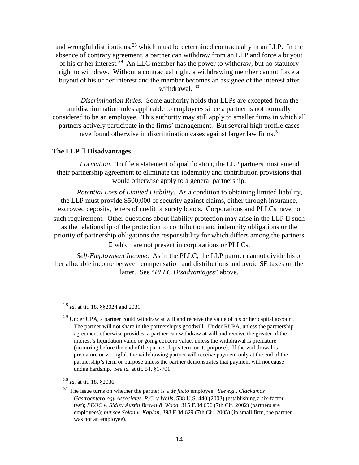and wrongful distributions, $28$  which must be determined contractually in an LLP. In the absence of contrary agreement, a partner can withdraw from an LLP and force a buyout of his or her interest.[29](#page-16-1) An LLC member has the power to withdraw, but no statutory right to withdraw. Without a contractual right, a withdrawing member cannot force a buyout of his or her interest and the member becomes an assignee of the interest after withdrawal. [30](#page-16-2)

*Discrimination Rules*. Some authority holds that LLPs are excepted from the antidiscrimination rules applicable to employees since a partner is not normally considered to be an employee. This authority may still apply to smaller firms in which all partners actively participate in the firms' management. But several high profile cases have found otherwise in discrimination cases against larger law firms.<sup>31</sup>

#### The LLP □ Disadvantages

*Formation*. To file a statement of qualification, the LLP partners must amend their partnership agreement to eliminate the indemnity and contribution provisions that would otherwise apply to a general partnership.

*Potential Loss of Limited Liability*. As a condition to obtaining limited liability, the LLP must provide \$500,000 of security against claims, either through insurance, escrowed deposits, letters of credit or surety bonds. Corporations and PLLCs have no such requirement. Other questions about liability protection may arise in the LLP  $\square$  such as the relationship of the protection to contribution and indemnity obligations or the priority of partnership obligations the responsibility for which differs among the partners which are not present in corporations or PLLCs.

*Self-Employment Income*. As in the PLLC, the LLP partner cannot divide his or her allocable income between compensation and distributions and avoid SE taxes on the latter. See "*PLLC Disadvantages*" above.

 $\overline{a}$ 

<span id="page-16-0"></span><sup>28</sup> *Id.* at tit. 18, §§2024 and 2031.

<span id="page-16-1"></span> $^{29}$  Under UPA, a partner could withdraw at will and receive the value of his or her capital account. The partner will not share in the partnership's goodwill. Under RUPA, unless the partnership agreement otherwise provides, a partner can withdraw at will and receive the greater of the interest's liquidation value or going concern value, unless the withdrawal is premature (occurring before the end of the partnership's term or its purpose). If the withdrawal is premature or wrongful, the withdrawing partner will receive payment only at the end of the partnership's term or purpose unless the partner demonstrates that payment will not cause undue hardship. *See id.* at tit. 54, §1-701.

<span id="page-16-2"></span><sup>30</sup> *Id.* at tit. 18, §2036.

<span id="page-16-3"></span><sup>31</sup> The issue turns on whether the partner is a *de facto* employee. *See e.g., Clackamas Gastroenterology Associates, P.C. v Wells*, 538 U.S. 440 (2003) (establishing a six-factor test); *EEOC v. Sidley Austin Brown & Wood*, 315 F.3d 696 (7th Cir. 2002) (partners are employees); *but see Solon v. Kaplan*, 398 F.3d 629 (7th Cir. 2005) (in small firm, the partner was not an employee).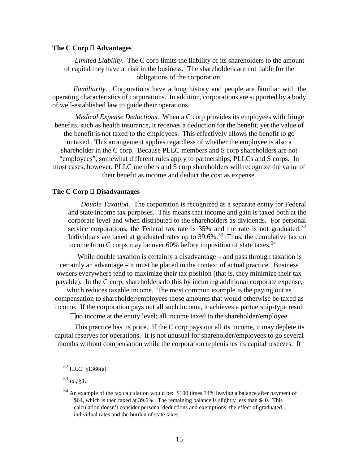#### The  $C$  Corp  $\Box$  Advantages

*Limited Liability*. The C corp limits the liability of its shareholders to the amount of capital they have at risk in the business. The shareholders are not liable for the obligations of the corporation.

*Familiarity*. Corporations have a long history and people are familiar with the operating characteristics of corporations. In addition, corporations are supported by a body of well-established law to guide their operations.

*Medical Expense Deductions*. When a C corp provides its employees with fringe benefits, such as health insurance, it receives a deduction for the benefit, yet the value of the benefit is not taxed to the employees. This effectively allows the benefit to go untaxed. This arrangement applies regardless of whether the employee is also a shareholder in the C corp. Because PLLC members and S corp shareholders are not "employees", somewhat different rules apply to partnerships, PLLCs and S corps. In most cases, however, PLLC members and S corp shareholders will recognize the value of their benefit as income and deduct the cost as expense.

#### The **C** Corp □ Disadvantages

*Double Taxation*. The corporation is recognized as a separate entity for Federal and state income tax purposes. This means that income and gain is taxed both at the corporate level and when distributed to the shareholders as dividends. For personal service corporations, the Federal tax rate is  $35\%$  and the rate is not graduated.<sup>[32](#page-17-0)</sup> Individuals are taxed at graduated rates up to  $39.6\%$ <sup>33</sup>. Thus, the cumulative tax on income from C corps may be over 60% before imposition of state taxes.  $34$ 

While double taxation is certainly a disadvantage – and pass through taxation is certainly an advantage – it must be placed in the context of actual practice. Business owners everywhere tend to maximize their tax position (that is, they minimize their tax payable). In the C corp, shareholders do this by incurring additional corporate expense,

which reduces taxable income. The most common example is the paying out as compensation to shareholder/employees those amounts that would otherwise be taxed as income. If the corporation pays out all such income, it achieves a partnership-type result

no income at the entity level; all income taxed to the shareholder/employee.

This practice has its price. If the C corp pays out all its income, it may deplete its capital reserves for operations. It is not unusual for shareholder/employees to go several months without compensation while the corporation replenishes its capital reserves. It

 $\overline{a}$ 

<span id="page-17-0"></span><sup>32</sup> I.R.C. §1366(a).

<span id="page-17-1"></span><sup>33</sup> *Id*., §1.

<span id="page-17-2"></span><sup>&</sup>lt;sup>34</sup> An example of the tax calculation would be: \$100 times 34% leaving a balance after payment of \$64, which is then taxed at 39.6%. The remaining balance is slightly less than \$40. This calculation doesn't consider personal deductions and exemptions, the effect of graduated individual rates and the burden of state taxes.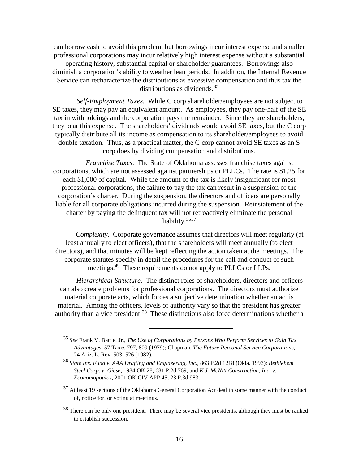can borrow cash to avoid this problem, but borrowings incur interest expense and smaller professional corporations may incur relatively high interest expense without a substantial operating history, substantial capital or shareholder guarantees. Borrowings also diminish a corporation's ability to weather lean periods. In addition, the Internal Revenue Service can recharacterize the distributions as excessive compensation and thus tax the

distributions as dividends.<sup>[35](#page-18-0)</sup>

*Self-Employment Taxes*. While C corp shareholder/employees are not subject to SE taxes, they may pay an equivalent amount. As employees, they pay one-half of the SE tax in withholdings and the corporation pays the remainder. Since they are shareholders, they bear this expense. The shareholders' dividends would avoid SE taxes, but the C corp typically distribute all its income as compensation to its shareholder/employees to avoid double taxation. Thus, as a practical matter, the C corp cannot avoid SE taxes as an S corp does by dividing compensation and distributions.

*Franchise Taxes*. The State of Oklahoma assesses franchise taxes against corporations, which are not assessed against partnerships or PLLCs. The rate is \$1.25 for each \$1,000 of capital. While the amount of the tax is likely insignificant for most professional corporations, the failure to pay the tax can result in a suspension of the corporation's charter. During the suspension, the directors and officers are personally liable for all corporate obligations incurred during the suspension. Reinstatement of the charter by paying the delinquent tax will not retroactively eliminate the personal liability.<sup>[36](#page-18-1)37</sup>

*Complexity*. Corporate governance assumes that directors will meet regularly (at least annually to elect officers), that the shareholders will meet annually (to elect directors), and that minutes will be kept reflecting the action taken at the meetings. The corporate statutes specify in detail the procedures for the call and conduct of such meetings.<sup>49</sup> These requirements do not apply to PLLCs or LLPs.

*Hierarchical Structure*. The distinct roles of shareholders, directors and officers can also create problems for professional corporations. The directors must authorize material corporate acts, which forces a subjective determination whether an act is material. Among the officers, levels of authority vary so that the president has greater authority than a vice president.<sup>38</sup> These distinctions also force determinations whether a

<span id="page-18-0"></span><sup>35</sup> *See* Frank V. Battle, Jr., *The Use of Corporations by Persons Who Perform Services to Gain Tax Advantages*, 57 Taxes 797, 809 (1979); Chapman, *The Future Personal Service Corporations*, 24 Ariz. L. Rev. 503, 526 (1982).

<span id="page-18-1"></span><sup>36</sup> *State Ins. Fund v. AAA Drafting and Engineering, Inc.*, 863 P.2d 1218 (Okla. 1993); *Bethlehem Steel Corp. v. Giese*, 1984 OK 28, 681 P.2d 769; and *K.J. McNitt Construction, Inc. v. Economopoulos*, 2001 OK CIV APP 45, 23 P.3d 983.

<span id="page-18-2"></span> $37$  At least 19 sections of the Oklahoma General Corporation Act deal in some manner with the conduct of, notice for, or voting at meetings.

<span id="page-18-3"></span><sup>&</sup>lt;sup>38</sup> There can be only one president. There may be several vice presidents, although they must be ranked to establish succession.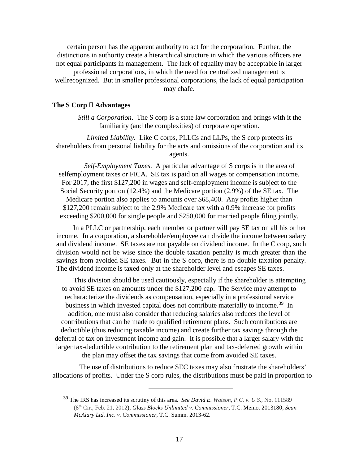certain person has the apparent authority to act for the corporation. Further, the distinctions in authority create a hierarchical structure in which the various officers are not equal participants in management. The lack of equality may be acceptable in larger

professional corporations, in which the need for centralized management is wellrecognized. But in smaller professional corporations, the lack of equal participation may chafe.

#### The  $S$  Corp  $\Box$  Advantages

*Still a Corporation*. The S corp is a state law corporation and brings with it the familiarity (and the complexities) of corporate operation.

*Limited Liability*. Like C corps, PLLCs and LLPs, the S corp protects its shareholders from personal liability for the acts and omissions of the corporation and its agents.

*Self-Employment Taxes*. A particular advantage of S corps is in the area of selfemployment taxes or FICA. SE tax is paid on all wages or compensation income. For 2017, the first \$127,200 in wages and self-employment income is subject to the Social Security portion (12.4%) and the Medicare portion (2.9%) of the SE tax. The Medicare portion also applies to amounts over \$68,400. Any profits higher than \$127,200 remain subject to the 2.9% Medicare tax with a 0.9% increase for profits exceeding \$200,000 for single people and \$250,000 for married people filing jointly.

In a PLLC or partnership, each member or partner will pay SE tax on all his or her income. In a corporation, a shareholder/employee can divide the income between salary and dividend income. SE taxes are not payable on dividend income. In the C corp, such division would not be wise since the double taxation penalty is much greater than the savings from avoided SE taxes. But in the S corp, there is no double taxation penalty. The dividend income is taxed only at the shareholder level and escapes SE taxes.

This division should be used cautiously, especially if the shareholder is attempting to avoid SE taxes on amounts under the \$127,200 cap. The Service may attempt to recharacterize the dividends as compensation, especially in a professional service business in which invested capital does not contribute materially to income.<sup>39</sup> In addition, one must also consider that reducing salaries also reduces the level of contributions that can be made to qualified retirement plans. Such contributions are deductible (thus reducing taxable income) and create further tax savings through the deferral of tax on investment income and gain. It is possible that a larger salary with the larger tax-deductible contribution to the retirement plan and tax-deferred growth within the plan may offset the tax savings that come from avoided SE taxes.

<span id="page-19-0"></span>The use of distributions to reduce SEC taxes may also frustrate the shareholders' allocations of profits. Under the S corp rules, the distributions must be paid in proportion to

<sup>39</sup> The IRS has increased its scrutiny of this area. *See David E. Watson, P.C. v. U.S.*, No. 111589 (8th Cir., Feb. 21, 2012); *Glass Blocks Unlimited v. Commissioner,* T.C. Memo. 2013180; *Sean McAlary Ltd. Inc*. *v. Commissioner*, T.C. Summ. 2013-62.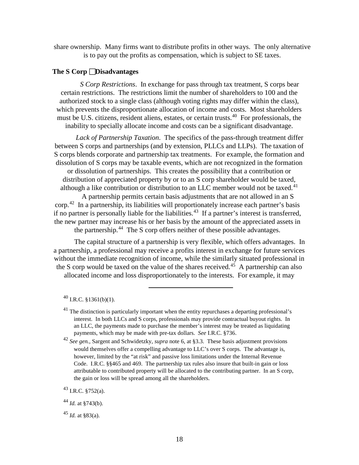share ownership. Many firms want to distribute profits in other ways. The only alternative is to pay out the profits as compensation, which is subject to SE taxes.

## **The S Corp Disadvantages**

*S Corp Restrictions*. In exchange for pass through tax treatment, S corps bear certain restrictions. The restrictions limit the number of shareholders to 100 and the authorized stock to a single class (although voting rights may differ within the class), which prevents the disproportionate allocation of income and costs. Most shareholders must be U.S. citizens, resident aliens, estates, or certain trusts.<sup>[40](#page-20-0)</sup> For professionals, the inability to specially allocate income and costs can be a significant disadvantage.

*Lack of Partnership Taxation*. The specifics of the pass-through treatment differ between S corps and partnerships (and by extension, PLLCs and LLPs). The taxation of S corps blends corporate and partnership tax treatments. For example, the formation and dissolution of S corps may be taxable events, which are not recognized in the formation or dissolution of partnerships. This creates the possibility that a contribution or distribution of appreciated property by or to an S corp shareholder would be taxed, although a like contribution or distribution to an LLC member would not be taxed.<sup>[41](#page-20-1)</sup>

A partnership permits certain basis adjustments that are not allowed in an S corp.[42](#page-20-2) In a partnership, its liabilities will proportionately increase each partner's basis if no partner is personally liable for the liabilities.<sup>43</sup> If a partner's interest is transferred, the new partner may increase his or her basis by the amount of the appreciated assets in the partnership.[44](#page-20-4) The S corp offers neither of these possible advantages.

The capital structure of a partnership is very flexible, which offers advantages. In a partnership, a professional may receive a profits interest in exchange for future services without the immediate recognition of income, while the similarly situated professional in the S corp would be taxed on the value of the shares received.<sup>45</sup> A partnership can also allocated income and loss disproportionately to the interests. For example, it may

 $\overline{a}$ 

<span id="page-20-2"></span><sup>42</sup> *See gen.*, Sargent and Schwidetzky, *supra* note 6, at §3.3. These basis adjustment provisions would themselves offer a compelling advantage to LLC's over S corps. The advantage is, however, limited by the "at risk" and passive loss limitations under the Internal Revenue Code. I.R.C. §§465 and 469. The partnership tax rules also insure that built-in gain or loss attributable to contributed property will be allocated to the contributing partner. In an S corp, the gain or loss will be spread among all the shareholders.

<span id="page-20-3"></span> $^{43}$  I.R.C. §752(a).

<span id="page-20-0"></span> $^{40}$  I.R.C.  $$1361(b)(1)$ .

<span id="page-20-1"></span> $41$  The distinction is particularly important when the entity repurchases a departing professional's interest. In both LLCs and S corps, professionals may provide contractual buyout rights. In an LLC, the payments made to purchase the member's interest may be treated as liquidating payments, which may be made with pre-tax dollars. *See* I.R.C. §736.

<span id="page-20-4"></span><sup>44</sup> *Id.* at §743(b).

<span id="page-20-5"></span> $45$  *Id.* at §83(a).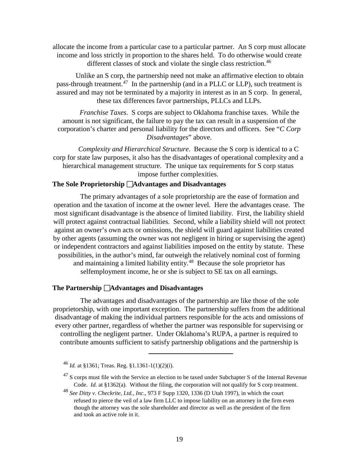allocate the income from a particular case to a particular partner. An S corp must allocate income and loss strictly in proportion to the shares held. To do otherwise would create different classes of stock and violate the single class restriction.<sup>46</sup>

Unlike an S corp, the partnership need not make an affirmative election to obtain pass-through treatment.<sup>[47](#page-21-1)</sup> In the partnership (and in a PLLC or LLP), such treatment is assured and may not be terminated by a majority in interest as in an S corp. In general, these tax differences favor partnerships, PLLCs and LLPs.

*Franchise Taxes*. S corps are subject to Oklahoma franchise taxes. While the amount is not significant, the failure to pay the tax can result in a suspension of the corporation's charter and personal liability for the directors and officers. See "*C Corp Disadvantages*" above.

*Complexity and Hierarchical Structure*. Because the S corp is identical to a C corp for state law purposes, it also has the disadvantages of operational complexity and a hierarchical management structure. The unique tax requirements for S corp status impose further complexities.

## The Sole Proprietorship **□Advantages and Disadvantages**

The primary advantages of a sole proprietorship are the ease of formation and operation and the taxation of income at the owner level. Here the advantages cease. The most significant disadvantage is the absence of limited liability. First, the liability shield will protect against contractual liabilities. Second, while a liability shield will not protect against an owner's own acts or omissions, the shield will guard against liabilities created by other agents (assuming the owner was not negligent in hiring or supervising the agent) or independent contractors and against liabilities imposed on the entity by statute. These possibilities, in the author's mind, far outweigh the relatively nominal cost of forming and maintaining a limited liability entity.<sup>[48](#page-21-2)</sup> Because the sole proprietor has selfemployment income, he or she is subject to SE tax on all earnings.

#### **The Partnership □Advantages and Disadvantages**

The advantages and disadvantages of the partnership are like those of the sole proprietorship, with one important exception. The partnership suffers from the additional disadvantage of making the individual partners responsible for the acts and omissions of every other partner, regardless of whether the partner was responsible for supervising or controlling the negligent partner. Under Oklahoma's RUPA, a partner is required to contribute amounts sufficient to satisfy partnership obligations and the partnership is

<span id="page-21-0"></span><sup>46</sup> *Id.* at §1361; Treas. Reg. §1.1361-1(1)(2)(i).

<span id="page-21-1"></span><sup>&</sup>lt;sup>47</sup> S corps must file with the Service an election to be taxed under Subchapter S of the Internal Revenue Code. *Id.* at §1362(a). Without the filing, the corporation will not qualify for S corp treatment.

<span id="page-21-2"></span><sup>48</sup> *See Ditty v. Checkrite, Ltd., Inc*., 973 F Supp 1320, 1336 (D Utah 1997), in which the court refused to pierce the veil of a law firm LLC to impose liability on an attorney in the firm even though the attorney was the sole shareholder and director as well as the president of the firm and took an active role in it.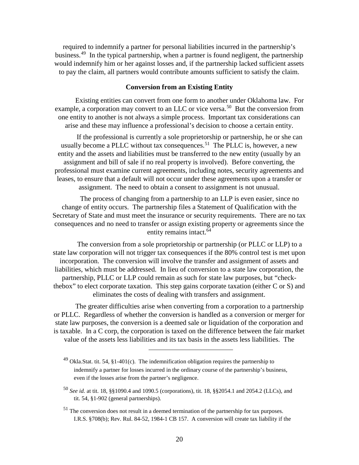required to indemnify a partner for personal liabilities incurred in the partnership's business.<sup>[49](#page-22-0)</sup> In the typical partnership, when a partner is found negligent, the partnership would indemnify him or her against losses and, if the partnership lacked sufficient assets to pay the claim, all partners would contribute amounts sufficient to satisfy the claim.

## **Conversion from an Existing Entity**

Existing entities can convert from one form to another under Oklahoma law. For example, a corporation may convert to an LLC or vice versa.<sup>50</sup> But the conversion from one entity to another is not always a simple process. Important tax considerations can arise and these may influence a professional's decision to choose a certain entity.

If the professional is currently a sole proprietorship or partnership, he or she can usually become a PLLC without tax consequences.<sup>51</sup> The PLLC is, however, a new entity and the assets and liabilities must be transferred to the new entity (usually by an assignment and bill of sale if no real property is involved). Before converting, the professional must examine current agreements, including notes, security agreements and leases, to ensure that a default will not occur under these agreements upon a transfer or assignment. The need to obtain a consent to assignment is not unusual.

The process of changing from a partnership to an LLP is even easier, since no change of entity occurs. The partnership files a Statement of Qualification with the Secretary of State and must meet the insurance or security requirements. There are no tax consequences and no need to transfer or assign existing property or agreements since the entity remains intact.<sup>64</sup>

The conversion from a sole proprietorship or partnership (or PLLC or LLP) to a state law corporation will not trigger tax consequences if the 80% control test is met upon incorporation. The conversion will involve the transfer and assignment of assets and liabilities, which must be addressed. In lieu of conversion to a state law corporation, the partnership, PLLC or LLP could remain as such for state law purposes, but "checkthebox" to elect corporate taxation. This step gains corporate taxation (either C or S) and eliminates the costs of dealing with transfers and assignment.

The greater difficulties arise when converting from a corporation to a partnership or PLLC. Regardless of whether the conversion is handled as a conversion or merger for state law purposes, the conversion is a deemed sale or liquidation of the corporation and is taxable. In a C corp, the corporation is taxed on the difference between the fair market value of the assets less liabilities and its tax basis in the assets less liabilities. The

<span id="page-22-0"></span><sup>49</sup> Okla.Stat. tit. 54, §1-401(c). The indemnification obligation requires the partnership to indemnify a partner for losses incurred in the ordinary course of the partnership's business, even if the losses arise from the partner's negligence.

- <span id="page-22-1"></span><sup>50</sup> *See id.* at tit. 18, §§1090.4 and 1090.5 (corporations), tit. 18, §§2054.1 and 2054.2 (LLCs), and tit. 54, §1-902 (general partnerships).
- <span id="page-22-2"></span> $51$  The conversion does not result in a deemed termination of the partnership for tax purposes. I.R.S. §708(b); Rev. Rul. 84-52, 1984-1 CB 157. A conversion will create tax liability if the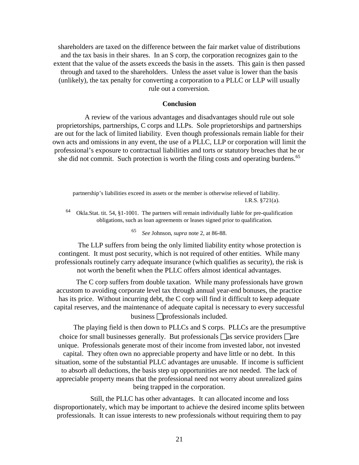shareholders are taxed on the difference between the fair market value of distributions and the tax basis in their shares. In an S corp, the corporation recognizes gain to the extent that the value of the assets exceeds the basis in the assets. This gain is then passed through and taxed to the shareholders. Unless the asset value is lower than the basis (unlikely), the tax penalty for converting a corporation to a PLLC or LLP will usually rule out a conversion.

#### **Conclusion**

A review of the various advantages and disadvantages should rule out sole proprietorships, partnerships, C corps and LLPs. Sole proprietorships and partnerships are out for the lack of limited liability. Even though professionals remain liable for their own acts and omissions in any event, the use of a PLLC, LLP or corporation will limit the professional's exposure to contractual liabilities and torts or statutory breaches that he or she did not commit. Such protection is worth the filing costs and operating burdens.<sup>65</sup>

partnership's liabilities exceed its assets or the member is otherwise relieved of liability. I.R.S. §721(a).

<sup>64</sup> Okla.Stat. tit. 54, §1-1001. The partners will remain individually liable for pre-qualification obligations, such as loan agreements or leases signed prior to qualification.

<sup>65</sup> *See* Johnson, *supra* note 2, at 86-88.

The LLP suffers from being the only limited liability entity whose protection is contingent. It must post security, which is not required of other entities. While many professionals routinely carry adequate insurance (which qualifies as security), the risk is not worth the benefit when the PLLC offers almost identical advantages.

The C corp suffers from double taxation. While many professionals have grown accustom to avoiding corporate level tax through annual year-end bonuses, the practice has its price. Without incurring debt, the C corp will find it difficult to keep adequate capital reserves, and the maintenance of adequate capital is necessary to every successful business  $\Box$ professionals included.

The playing field is then down to PLLCs and S corps. PLLCs are the presumptive choice for small businesses generally. But professionals  $\Box$  as service providers  $\Box$  are unique. Professionals generate most of their income from invested labor, not invested capital. They often own no appreciable property and have little or no debt. In this situation, some of the substantial PLLC advantages are unusable. If income is sufficient to absorb all deductions, the basis step up opportunities are not needed. The lack of appreciable property means that the professional need not worry about unrealized gains being trapped in the corporation.

Still, the PLLC has other advantages. It can allocated income and loss disproportionately, which may be important to achieve the desired income splits between professionals. It can issue interests to new professionals without requiring them to pay